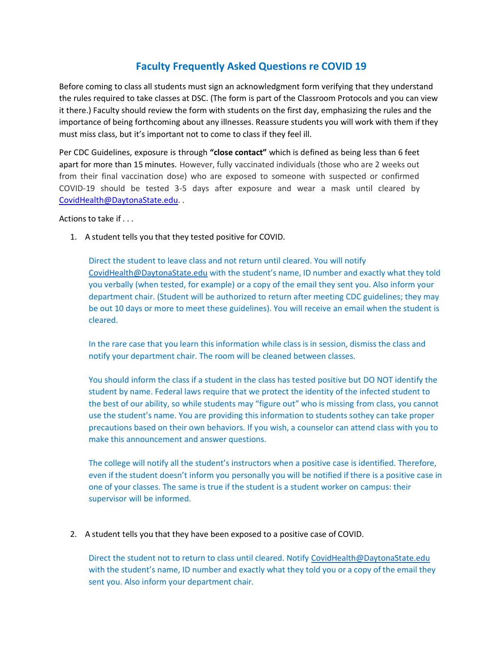## **Faculty Frequently Asked Questions re COVID 19**

Before coming to class all students must sign an acknowledgment form verifying that they understand the rules required to take classes at DSC. (The form is part of the Classroom Protocols and you can view it there.) Faculty should review the form with students on the first day, emphasizing the rules and the importance of being forthcoming about any illnesses. Reassure students you will work with them if they must miss class, but it's important not to come to class if they feel ill.

Per CDC Guidelines, exposure is through **"close contact"** which is defined as being less than 6 feet apart for more than 15 minutes. However, fully vaccinated individuals (those who are 2 weeks out from their final vaccination dose) who are exposed to someone with suspected or confirmed COVID-19 should be tested 3-5 days after exposure and wear a mask until cleared by [CovidHealth@DaytonaState.edu.](mailto:CovidHealth@DaytonaState.edu) .

Actions to take if . . .

1. A student tells you that they tested positive for COVID.

Direct the student to leave class and not return until cleared. You will notify [CovidHealth@DaytonaState.edu](mailto:CovidHealth@DaytonaState.edu) with the student's name, ID number and exactly what they told you verbally (when tested, for example) or a copy of the email they sent you. Also inform your department chair. (Student will be authorized to return after meeting CDC guidelines; they may be out 10 days or more to meet these guidelines). You will receive an email when the student is cleared.

In the rare case that you learn this information while class is in session, dismiss the class and notify your department chair. The room will be cleaned between classes.

You should inform the class if a student in the class has tested positive but DO NOT identify the student by name. Federal laws require that we protect the identity of the infected student to the best of our ability, so while students may "figure out" who is missing from class, you cannot use the student's name. You are providing this information to students sothey can take proper precautions based on their own behaviors. If you wish, a counselor can attend class with you to make this announcement and answer questions.

The college will notify all the student's instructors when a positive case is identified. Therefore, even if the student doesn't inform you personally you will be notified if there is a positive case in one of your classes. The same is true if the student is a student worker on campus: their supervisor will be informed.

2. A student tells you that they have been exposed to a positive case of COVID.

Direct the student not to return to class until cleared. Notify [CovidHealth@DaytonaState.edu](mailto:CovidHealth@daytonatstate.edu) with the student's name, ID number and exactly what they told you or a copy of the email they sent you. Also inform your department chair.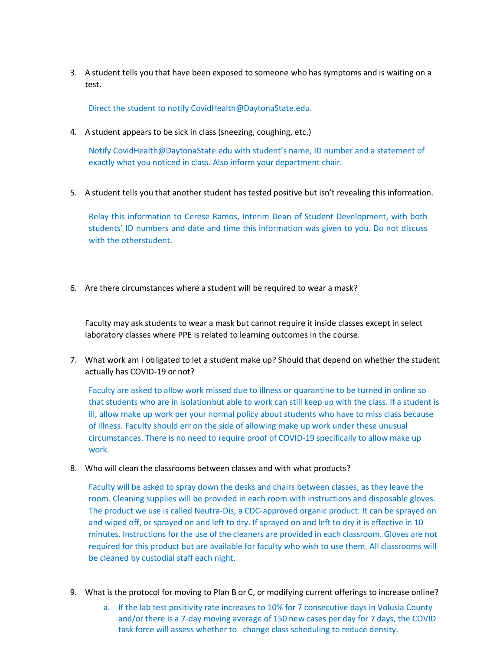3. A student tells you that have been exposed to someone who has symptoms and is waiting on a test.

Direct the student to notify CovidHealth@DaytonaState.edu.

4. A student appears to be sick in class (sneezing, coughing, etc.)

Notify [CovidHealth@DaytonaState.edu](mailto:CovidHealth@DaytonaState.edu) with student's name, ID number and a statement of exactly what you noticed in class. Also inform your department chair.

5. A student tells you that another student has tested positive but isn't revealing this information.

Relay this information to Cerese Ramos, Interim Dean of Student Development, with both students' ID numbers and date and time this information was given to you. Do not discuss with the otherstudent.

6. Are there circumstances where a student will be required to wear a mask?

Faculty may ask students to wear a mask but cannot require it inside classes except in select laboratory classes where PPE is related to learning outcomes in the course.

7. What work am I obligated to let a student make up? Should that depend on whether the student actually has COVID-19 or not?

Faculty are asked to allow work missed due to illness or quarantine to be turned in online so that students who are in isolationbut able to work can still keep up with the class. If a student is ill, allow make up work per your normal policy about students who have to miss class because of illness. Faculty should err on the side of allowing make up work under these unusual circumstances. There is no need to require proof of COVID-19 specifically to allow make up work.

8. Who will clean the classrooms between classes and with what products?

Faculty will be asked to spray down the desks and chairs between classes, as they leave the room. Cleaning supplies will be provided in each room with instructions and disposable gloves. The product we use is called Neutra-Dis, a CDC-approved organic product. It can be sprayed on and wiped off, or sprayed on and left to dry. If sprayed on and left to dry it is effective in 10 minutes. Instructions for the use of the cleaners are provided in each classroom. Gloves are not required for this product but are available for faculty who wish to use them. All classrooms will be cleaned by custodial staff each night.

- 9. What is the protocol for moving to Plan B or C, or modifying current offerings to increase online?
	- a. If the lab test positivity rate increases to 10% for 7 consecutive days in Volusia County and/or there is a 7-day moving average of 150 new cases per day for 7 days, the COVID task force will assess whether to change class scheduling to reduce density.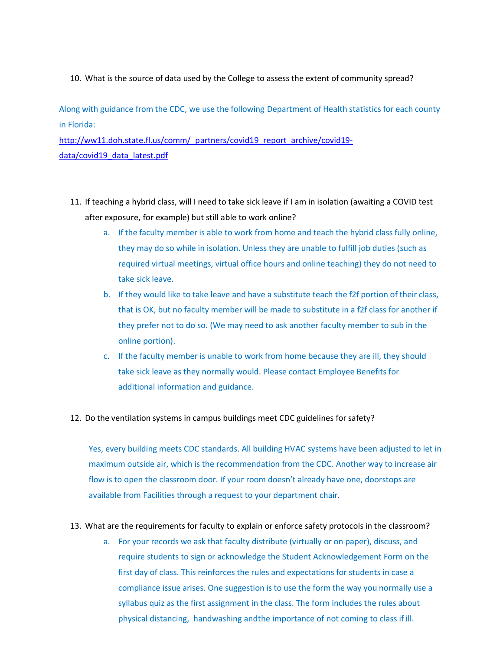## 10. What is the source of data used by the College to assess the extent of community spread?

Along with guidance from the CDC, we use the following Department of Health statistics for each county in Florida:

[http://ww11.doh.state.fl.us/comm/\\_partners/covid19\\_report\\_archive/covid19](http://ww11.doh.state.fl.us/comm/_partners/covid19_report_archive/covid19-data/covid19_data_latest.pdf) [data/covid19\\_data\\_latest.pdf](http://ww11.doh.state.fl.us/comm/_partners/covid19_report_archive/covid19-data/covid19_data_latest.pdf)

- 11. If teaching a hybrid class, will I need to take sick leave if I am in isolation (awaiting a COVID test after exposure, for example) but still able to work online?
	- a. If the faculty member is able to work from home and teach the hybrid class fully online, they may do so while in isolation. Unless they are unable to fulfill job duties (such as required virtual meetings, virtual office hours and online teaching) they do not need to take sick leave.
	- b. If they would like to take leave and have a substitute teach the f2f portion of their class, that is OK, but no faculty member will be made to substitute in a f2f class for another if they prefer not to do so. (We may need to ask another faculty member to sub in the online portion).
	- c. If the faculty member is unable to work from home because they are ill, they should take sick leave as they normally would. Please contact Employee Benefits for additional information and guidance.
- 12. Do the ventilation systems in campus buildings meet CDC guidelines for safety?

Yes, every building meets CDC standards. All building HVAC systems have been adjusted to let in maximum outside air, which is the recommendation from the CDC. Another way to increase air flow is to open the classroom door. If your room doesn't already have one, doorstops are available from Facilities through a request to your department chair.

- 13. What are the requirements for faculty to explain or enforce safety protocols in the classroom?
	- a. For your records we ask that faculty distribute (virtually or on paper), discuss, and require students to sign or acknowledge the Student Acknowledgement Form on the first day of class. This reinforces the rules and expectations for students in case a compliance issue arises. One suggestion is to use the form the way you normally use a syllabus quiz as the first assignment in the class. The form includes the rules about physical distancing, handwashing andthe importance of not coming to class if ill.